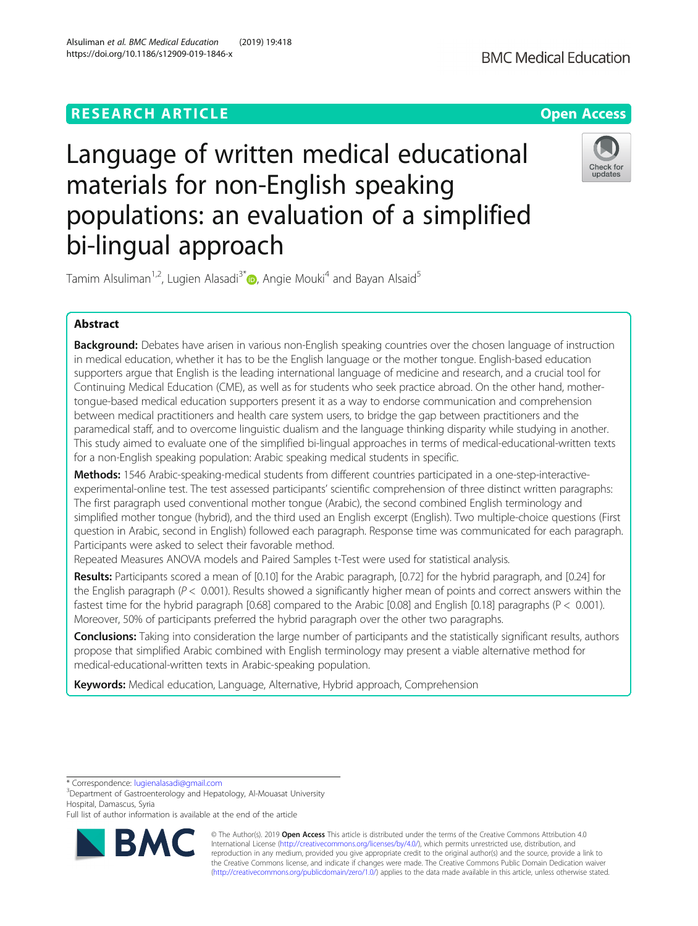# **RESEARCH ARTICLE Example 2014 12:30 The Contract of Contract ACCESS**

# Language of written medical educational materials for non-English speaking populations: an evaluation of a simplified bi-lingual approach

Tamim Alsuliman<sup>1,2</sup>, Lugien Alasadi<sup>3[\\*](http://orcid.org/0000-0001-8208-767X)</sup>  $\bullet$ , Angie Mouki<sup>4</sup> and Bayan Alsaid<sup>5</sup>

## Abstract

Background: Debates have arisen in various non-English speaking countries over the chosen language of instruction in medical education, whether it has to be the English language or the mother tongue. English-based education supporters argue that English is the leading international language of medicine and research, and a crucial tool for Continuing Medical Education (CME), as well as for students who seek practice abroad. On the other hand, mothertongue-based medical education supporters present it as a way to endorse communication and comprehension between medical practitioners and health care system users, to bridge the gap between practitioners and the paramedical staff, and to overcome linguistic dualism and the language thinking disparity while studying in another. This study aimed to evaluate one of the simplified bi-lingual approaches in terms of medical-educational-written texts for a non-English speaking population: Arabic speaking medical students in specific.

Methods: 1546 Arabic-speaking-medical students from different countries participated in a one-step-interactiveexperimental-online test. The test assessed participants' scientific comprehension of three distinct written paragraphs: The first paragraph used conventional mother tongue (Arabic), the second combined English terminology and simplified mother tongue (hybrid), and the third used an English excerpt (English). Two multiple-choice questions (First question in Arabic, second in English) followed each paragraph. Response time was communicated for each paragraph. Participants were asked to select their favorable method.

Repeated Measures ANOVA models and Paired Samples t-Test were used for statistical analysis.

Results: Participants scored a mean of [0.10] for the Arabic paragraph, [0.72] for the hybrid paragraph, and [0.24] for the English paragraph ( $P < 0.001$ ). Results showed a significantly higher mean of points and correct answers within the fastest time for the hybrid paragraph [0.68] compared to the Arabic [0.08] and English [0.18] paragraphs (P < 0.001). Moreover, 50% of participants preferred the hybrid paragraph over the other two paragraphs.

Conclusions: Taking into consideration the large number of participants and the statistically significant results, authors propose that simplified Arabic combined with English terminology may present a viable alternative method for medical-educational-written texts in Arabic-speaking population.

Keywords: Medical education, Language, Alternative, Hybrid approach, Comprehension

\* Correspondence: [lugienalasadi@gmail.com](mailto:lugienalasadi@gmail.com) <sup>3</sup>

<sup>3</sup>Department of Gastroenterology and Hepatology, Al-Mouasat University Hospital, Damascus, Syria

Full list of author information is available at the end of the article

© The Author(s). 2019 **Open Access** This article is distributed under the terms of the Creative Commons Attribution 4.0 International License [\(http://creativecommons.org/licenses/by/4.0/](http://creativecommons.org/licenses/by/4.0/)), which permits unrestricted use, distribution, and reproduction in any medium, provided you give appropriate credit to the original author(s) and the source, provide a link to the Creative Commons license, and indicate if changes were made. The Creative Commons Public Domain Dedication waiver [\(http://creativecommons.org/publicdomain/zero/1.0/](http://creativecommons.org/publicdomain/zero/1.0/)) applies to the data made available in this article, unless otherwise stated.





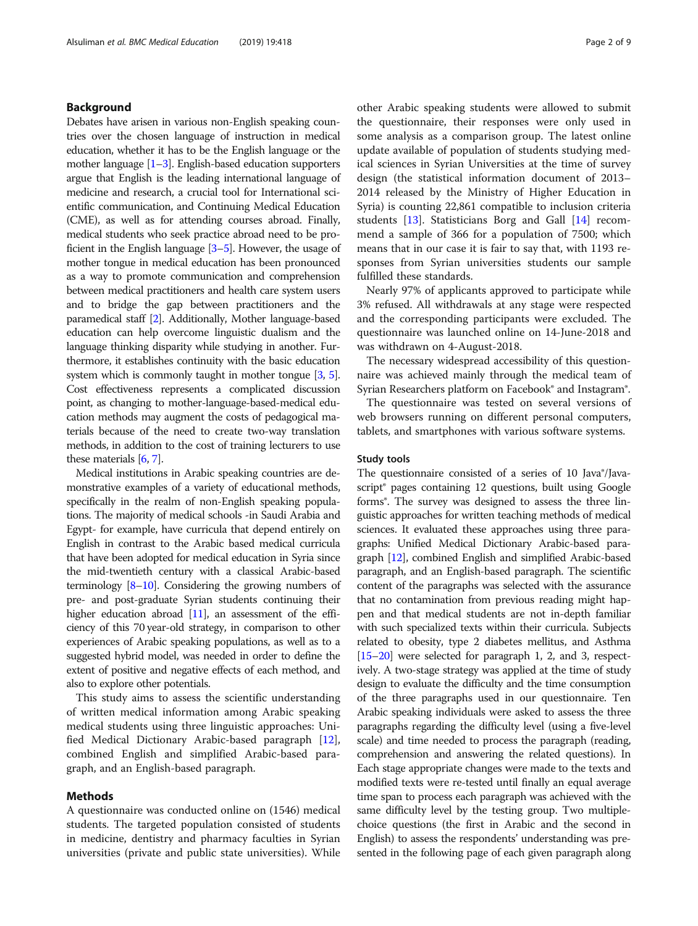## Background

Debates have arisen in various non-English speaking countries over the chosen language of instruction in medical education, whether it has to be the English language or the mother language [\[1](#page-7-0)–[3](#page-7-0)]. English-based education supporters argue that English is the leading international language of medicine and research, a crucial tool for International scientific communication, and Continuing Medical Education (CME), as well as for attending courses abroad. Finally, medical students who seek practice abroad need to be proficient in the English language [\[3](#page-7-0)–[5\]](#page-7-0). However, the usage of mother tongue in medical education has been pronounced as a way to promote communication and comprehension between medical practitioners and health care system users and to bridge the gap between practitioners and the paramedical staff [[2](#page-7-0)]. Additionally, Mother language-based education can help overcome linguistic dualism and the language thinking disparity while studying in another. Furthermore, it establishes continuity with the basic education system which is commonly taught in mother tongue [\[3,](#page-7-0) [5](#page-7-0)]. Cost effectiveness represents a complicated discussion point, as changing to mother-language-based-medical education methods may augment the costs of pedagogical materials because of the need to create two-way translation methods, in addition to the cost of training lecturers to use these materials [\[6](#page-7-0), [7\]](#page-7-0).

Medical institutions in Arabic speaking countries are demonstrative examples of a variety of educational methods, specifically in the realm of non-English speaking populations. The majority of medical schools -in Saudi Arabia and Egypt- for example, have curricula that depend entirely on English in contrast to the Arabic based medical curricula that have been adopted for medical education in Syria since the mid-twentieth century with a classical Arabic-based terminology  $[8-10]$  $[8-10]$  $[8-10]$ . Considering the growing numbers of pre- and post-graduate Syrian students continuing their higher education abroad  $[11]$  $[11]$ , an assessment of the efficiency of this 70 year-old strategy, in comparison to other experiences of Arabic speaking populations, as well as to a suggested hybrid model, was needed in order to define the extent of positive and negative effects of each method, and also to explore other potentials.

This study aims to assess the scientific understanding of written medical information among Arabic speaking medical students using three linguistic approaches: Unified Medical Dictionary Arabic-based paragraph [\[12](#page-7-0)], combined English and simplified Arabic-based paragraph, and an English-based paragraph.

## Methods

A questionnaire was conducted online on (1546) medical students. The targeted population consisted of students in medicine, dentistry and pharmacy faculties in Syrian universities (private and public state universities). While other Arabic speaking students were allowed to submit the questionnaire, their responses were only used in some analysis as a comparison group. The latest online update available of population of students studying medical sciences in Syrian Universities at the time of survey design (the statistical information document of 2013– 2014 released by the Ministry of Higher Education in Syria) is counting 22,861 compatible to inclusion criteria students [\[13](#page-7-0)]. Statisticians Borg and Gall [\[14\]](#page-7-0) recommend a sample of 366 for a population of 7500; which means that in our case it is fair to say that, with 1193 responses from Syrian universities students our sample fulfilled these standards.

Nearly 97% of applicants approved to participate while 3% refused. All withdrawals at any stage were respected and the corresponding participants were excluded. The questionnaire was launched online on 14-June-2018 and was withdrawn on 4-August-2018.

The necessary widespread accessibility of this questionnaire was achieved mainly through the medical team of Syrian Researchers platform on Facebook® and Instagram®.

The questionnaire was tested on several versions of web browsers running on different personal computers, tablets, and smartphones with various software systems.

## Study tools

The questionnaire consisted of a series of 10 Java<sup>®</sup>/Javascript<sup>®</sup> pages containing 12 questions, built using Google forms®. The survey was designed to assess the three linguistic approaches for written teaching methods of medical sciences. It evaluated these approaches using three paragraphs: Unified Medical Dictionary Arabic-based paragraph [[12](#page-7-0)], combined English and simplified Arabic-based paragraph, and an English-based paragraph. The scientific content of the paragraphs was selected with the assurance that no contamination from previous reading might happen and that medical students are not in-depth familiar with such specialized texts within their curricula. Subjects related to obesity, type 2 diabetes mellitus, and Asthma [[15](#page-7-0)–[20\]](#page-8-0) were selected for paragraph 1, 2, and 3, respectively. A two-stage strategy was applied at the time of study design to evaluate the difficulty and the time consumption of the three paragraphs used in our questionnaire. Ten Arabic speaking individuals were asked to assess the three paragraphs regarding the difficulty level (using a five-level scale) and time needed to process the paragraph (reading, comprehension and answering the related questions). In Each stage appropriate changes were made to the texts and modified texts were re-tested until finally an equal average time span to process each paragraph was achieved with the same difficulty level by the testing group. Two multiplechoice questions (the first in Arabic and the second in English) to assess the respondents' understanding was presented in the following page of each given paragraph along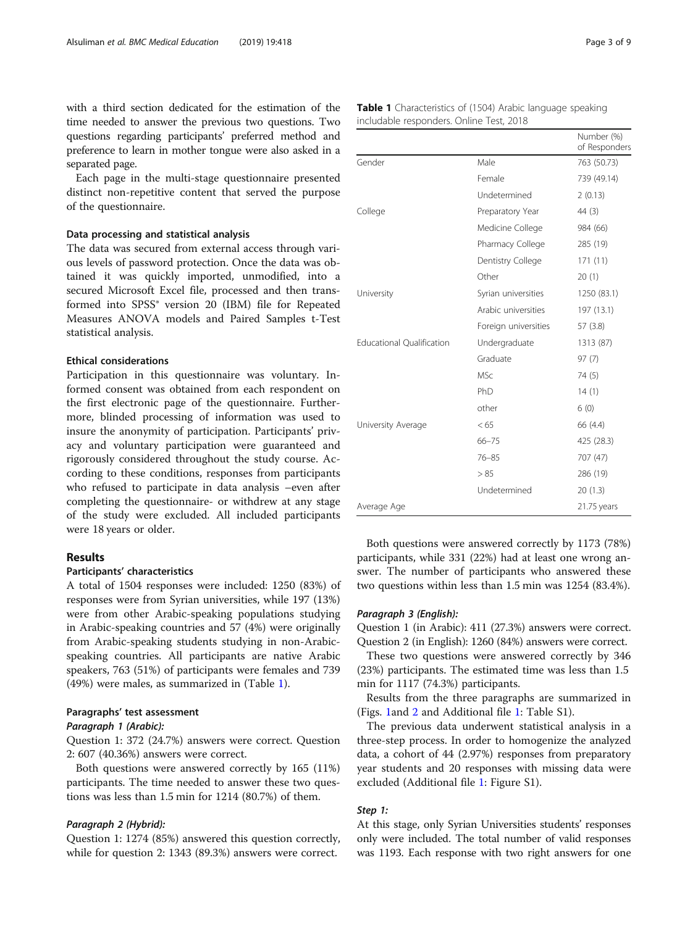with a third section dedicated for the estimation of the time needed to answer the previous two questions. Two questions regarding participants' preferred method and preference to learn in mother tongue were also asked in a separated page.

Each page in the multi-stage questionnaire presented distinct non-repetitive content that served the purpose of the questionnaire.

## Data processing and statistical analysis

The data was secured from external access through various levels of password protection. Once the data was obtained it was quickly imported, unmodified, into a secured Microsoft Excel file, processed and then transformed into SPSS® version 20 (IBM) file for Repeated Measures ANOVA models and Paired Samples t-Test statistical analysis.

## Ethical considerations

Participation in this questionnaire was voluntary. Informed consent was obtained from each respondent on the first electronic page of the questionnaire. Furthermore, blinded processing of information was used to insure the anonymity of participation. Participants' privacy and voluntary participation were guaranteed and rigorously considered throughout the study course. According to these conditions, responses from participants who refused to participate in data analysis –even after completing the questionnaire- or withdrew at any stage of the study were excluded. All included participants were 18 years or older.

## Results

### Participants' characteristics

A total of 1504 responses were included: 1250 (83%) of responses were from Syrian universities, while 197 (13%) were from other Arabic-speaking populations studying in Arabic-speaking countries and 57 (4%) were originally from Arabic-speaking students studying in non-Arabicspeaking countries. All participants are native Arabic speakers, 763 (51%) of participants were females and 739 (49%) were males, as summarized in (Table 1).

#### Paragraphs' test assessment

## Paragraph 1 (Arabic):

Question 1: 372 (24.7%) answers were correct. Question 2: 607 (40.36%) answers were correct.

Both questions were answered correctly by 165 (11%) participants. The time needed to answer these two questions was less than 1.5 min for 1214 (80.7%) of them.

### Paragraph 2 (Hybrid):

Question 1: 1274 (85%) answered this question correctly, while for question 2: 1343 (89.3%) answers were correct.

|                                  |                      | of Responders |
|----------------------------------|----------------------|---------------|
| Gender                           | Male                 | 763 (50.73)   |
|                                  | Female               | 739 (49.14)   |
|                                  | Undetermined         | 2(0.13)       |
| College                          | Preparatory Year     | 44 (3)        |
|                                  | Medicine College     | 984 (66)      |
|                                  | Pharmacy College     | 285 (19)      |
|                                  | Dentistry College    | 171(11)       |
|                                  | Other                | 20(1)         |
| University                       | Syrian universities  | 1250 (83.1)   |
|                                  | Arabic universities  | 197 (13.1)    |
|                                  | Foreign universities | 57(3.8)       |
| <b>Educational Qualification</b> | Undergraduate        | 1313 (87)     |
|                                  | Graduate             | 97(7)         |
|                                  | <b>MSc</b>           | 74 (5)        |
|                                  | PhD                  | 14(1)         |
|                                  | other                | 6(0)          |
| University Average               | < 65                 | 66 (4.4)      |
|                                  | $66 - 75$            | 425 (28.3)    |
|                                  | $76 - 85$            | 707 (47)      |
|                                  | > 85                 | 286 (19)      |
|                                  | Undetermined         | 20(1.3)       |
| Average Age                      |                      | 21.75 years   |

Both questions were answered correctly by 1173 (78%) participants, while 331 (22%) had at least one wrong answer. The number of participants who answered these two questions within less than 1.5 min was 1254 (83.4%).

## Paragraph 3 (English):

Question 1 (in Arabic): 411 (27.3%) answers were correct. Question 2 (in English): 1260 (84%) answers were correct.

These two questions were answered correctly by 346 (23%) participants. The estimated time was less than 1.5 min for 1117 (74.3%) participants.

Results from the three paragraphs are summarized in (Figs. [1](#page-3-0)and [2](#page-3-0) and Additional file [1](#page-7-0): Table S1).

The previous data underwent statistical analysis in a three-step process. In order to homogenize the analyzed data, a cohort of 44 (2.97%) responses from preparatory year students and 20 responses with missing data were excluded (Additional file [1](#page-7-0): Figure S1).

## Step 1:

At this stage, only Syrian Universities students' responses only were included. The total number of valid responses was 1193. Each response with two right answers for one

Number (%)

| Table 1 Characteristics of (1504) Arabic language speaking |  |
|------------------------------------------------------------|--|
| includable responders. Online Test, 2018                   |  |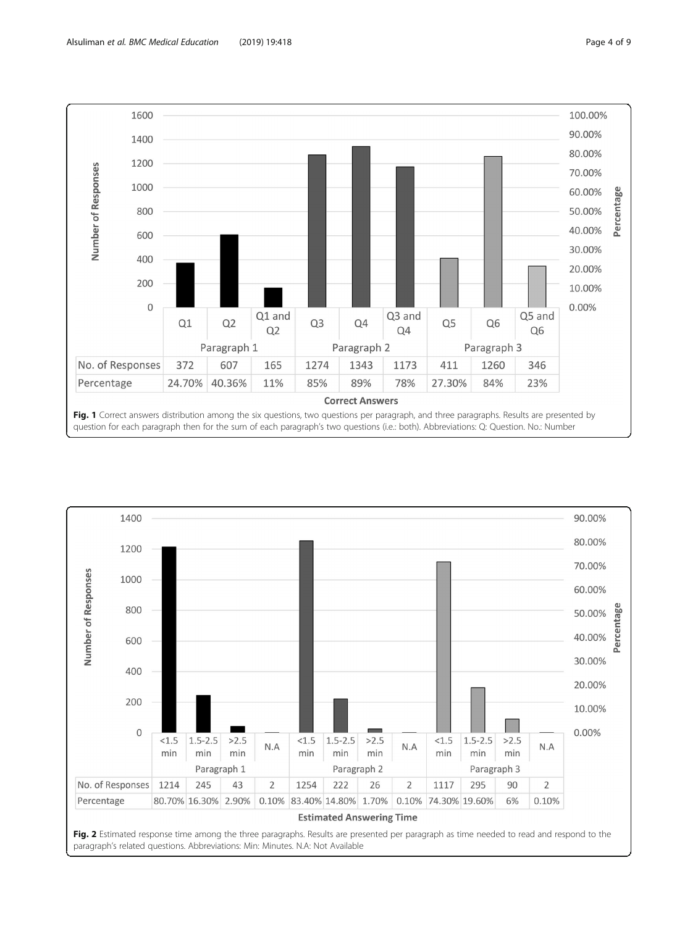<span id="page-3-0"></span>

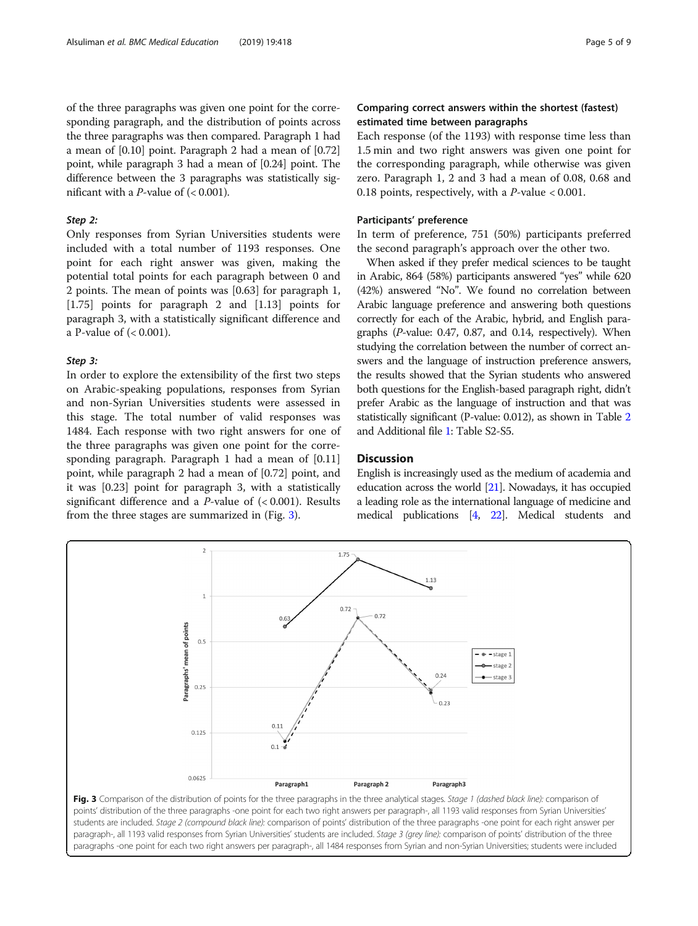of the three paragraphs was given one point for the corresponding paragraph, and the distribution of points across the three paragraphs was then compared. Paragraph 1 had a mean of [0.10] point. Paragraph 2 had a mean of [0.72] point, while paragraph 3 had a mean of [0.24] point. The difference between the 3 paragraphs was statistically significant with a *P*-value of  $( $0.001$ ).$ 

## Step 2:

Only responses from Syrian Universities students were included with a total number of 1193 responses. One point for each right answer was given, making the potential total points for each paragraph between 0 and 2 points. The mean of points was [0.63] for paragraph 1, [1.75] points for paragraph 2 and [1.13] points for paragraph 3, with a statistically significant difference and a P-value of (< 0.001).

## Step 3:

In order to explore the extensibility of the first two steps on Arabic-speaking populations, responses from Syrian and non-Syrian Universities students were assessed in this stage. The total number of valid responses was 1484. Each response with two right answers for one of the three paragraphs was given one point for the corresponding paragraph. Paragraph 1 had a mean of [0.11] point, while paragraph 2 had a mean of [0.72] point, and it was [0.23] point for paragraph 3, with a statistically significant difference and a *P*-value of  $( $0.001$ ). Results$ from the three stages are summarized in (Fig. 3).

 $\overline{z}$ 

 $\mathbf{1}$ 

 $0.5$ 

## Comparing correct answers within the shortest (fastest) estimated time between paragraphs

Each response (of the 1193) with response time less than 1.5 min and two right answers was given one point for the corresponding paragraph, while otherwise was given zero. Paragraph 1, 2 and 3 had a mean of 0.08, 0.68 and 0.18 points, respectively, with a  $P$ -value < 0.001.

## Participants' preference

In term of preference, 751 (50%) participants preferred the second paragraph's approach over the other two.

When asked if they prefer medical sciences to be taught in Arabic, 864 (58%) participants answered "yes" while 620 (42%) answered "No". We found no correlation between Arabic language preference and answering both questions correctly for each of the Arabic, hybrid, and English paragraphs (P-value: 0.47, 0.87, and 0.14, respectively). When studying the correlation between the number of correct answers and the language of instruction preference answers, the results showed that the Syrian students who answered both questions for the English-based paragraph right, didn't prefer Arabic as the language of instruction and that was statistically significant (P-value: 0.012), as shown in Table [2](#page-5-0) and Additional file [1:](#page-7-0) Table S2-S5.

## **Discussion**

 $1.13$ 

English is increasingly used as the medium of academia and education across the world [[21](#page-8-0)]. Nowadays, it has occupied a leading role as the international language of medicine and medical publications [\[4,](#page-7-0) [22](#page-8-0)]. Medical students and

 $-$  stage



 $175$ 

 $0.72$ 

 $0.72$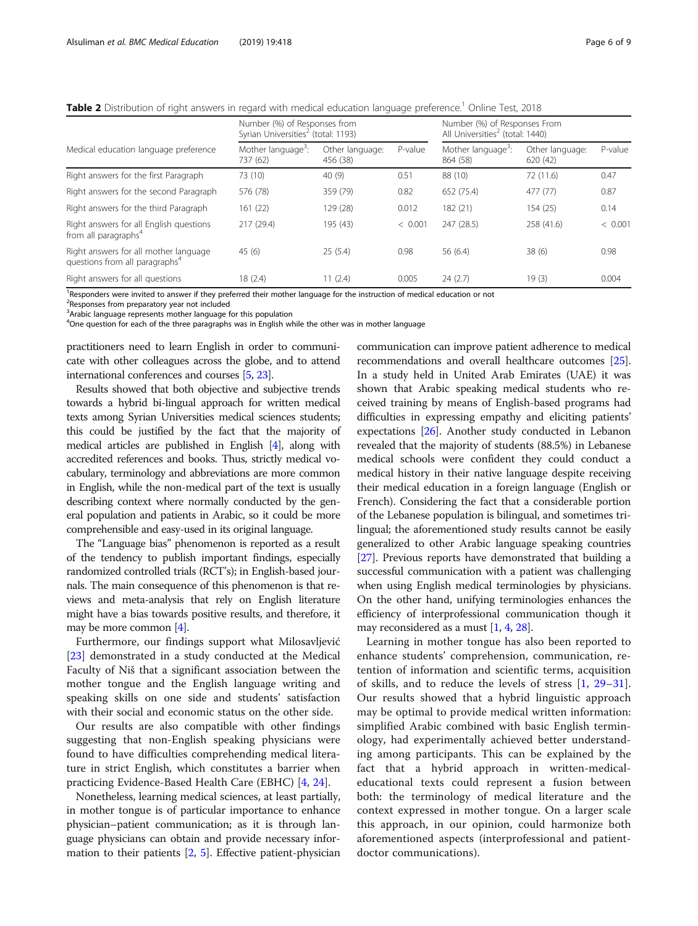<span id="page-5-0"></span>Table 2 Distribution of right answers in regard with medical education language preference.<sup>1</sup> Online Test, 2018

|                                                                                     | Number (%) of Responses from<br>Syrian Universities <sup>2</sup> (total: 1193) |                             |         | Number (%) of Responses From<br>All Universities <sup>2</sup> (total: 1440) |                            |         |
|-------------------------------------------------------------------------------------|--------------------------------------------------------------------------------|-----------------------------|---------|-----------------------------------------------------------------------------|----------------------------|---------|
| Medical education language preference                                               | Mother language <sup>3</sup> :<br>737 (62)                                     | Other language:<br>456 (38) | P-value | Mother language <sup>3</sup> :<br>864 (58)                                  | Other language:<br>620(42) | P-value |
| Right answers for the first Paragraph                                               | 73 (10)                                                                        | 40(9)                       | 0.51    | 88 (10)                                                                     | 72 (11.6)                  | 0.47    |
| Right answers for the second Paragraph                                              | 576 (78)                                                                       | 359 (79)                    | 0.82    | 652 (75.4)                                                                  | 477 (77)                   | 0.87    |
| Right answers for the third Paragraph                                               | (22)<br>161                                                                    | 129 (28)                    | 0.012   | 182 (21)                                                                    | 154 (25)                   | 0.14    |
| Right answers for all English questions<br>from all paragraphs <sup>4</sup>         | 217 (29.4)                                                                     | 195 (43)                    | < 0.001 | 247 (28.5)                                                                  | 258 (41.6)                 | < 0.001 |
| Right answers for all mother language<br>questions from all paragraphs <sup>4</sup> | 45 (6)                                                                         | 25(5.4)                     | 0.98    | 56 (6.4)                                                                    | 38(6)                      | 0.98    |
| Right answers for all questions                                                     | 18(2.4)                                                                        | 11(2.4)                     | 0.005   | 24(2.7)                                                                     | 19(3)                      | 0.004   |

<sup>1</sup>Responders were invited to answer if they preferred their mother language for the instruction of medical education or not

<sup>2</sup>Responses from preparatory year not included

<sup>3</sup> Arabic language represents mother language for this population

<sup>4</sup>One question for each of the three paragraphs was in English while the other was in mother language

practitioners need to learn English in order to communicate with other colleagues across the globe, and to attend international conferences and courses [\[5,](#page-7-0) [23\]](#page-8-0).

Results showed that both objective and subjective trends towards a hybrid bi-lingual approach for written medical texts among Syrian Universities medical sciences students; this could be justified by the fact that the majority of medical articles are published in English [\[4](#page-7-0)], along with accredited references and books. Thus, strictly medical vocabulary, terminology and abbreviations are more common in English, while the non-medical part of the text is usually describing context where normally conducted by the general population and patients in Arabic, so it could be more comprehensible and easy-used in its original language.

The "Language bias" phenomenon is reported as a result of the tendency to publish important findings, especially randomized controlled trials (RCT's); in English-based journals. The main consequence of this phenomenon is that reviews and meta-analysis that rely on English literature might have a bias towards positive results, and therefore, it may be more common [[4](#page-7-0)].

Furthermore, our findings support what Milosavljević [[23\]](#page-8-0) demonstrated in a study conducted at the Medical Faculty of Niš that a significant association between the mother tongue and the English language writing and speaking skills on one side and students' satisfaction with their social and economic status on the other side.

Our results are also compatible with other findings suggesting that non-English speaking physicians were found to have difficulties comprehending medical literature in strict English, which constitutes a barrier when practicing Evidence-Based Health Care (EBHC) [\[4,](#page-7-0) [24\]](#page-8-0).

Nonetheless, learning medical sciences, at least partially, in mother tongue is of particular importance to enhance physician–patient communication; as it is through language physicians can obtain and provide necessary information to their patients [[2](#page-7-0), [5\]](#page-7-0). Effective patient-physician communication can improve patient adherence to medical recommendations and overall healthcare outcomes [[25](#page-8-0)]. In a study held in United Arab Emirates (UAE) it was shown that Arabic speaking medical students who received training by means of English-based programs had difficulties in expressing empathy and eliciting patients' expectations [\[26\]](#page-8-0). Another study conducted in Lebanon revealed that the majority of students (88.5%) in Lebanese medical schools were confident they could conduct a medical history in their native language despite receiving their medical education in a foreign language (English or French). Considering the fact that a considerable portion of the Lebanese population is bilingual, and sometimes trilingual; the aforementioned study results cannot be easily generalized to other Arabic language speaking countries [[27](#page-8-0)]. Previous reports have demonstrated that building a successful communication with a patient was challenging when using English medical terminologies by physicians. On the other hand, unifying terminologies enhances the efficiency of interprofessional communication though it may reconsidered as a must  $[1, 4, 28]$  $[1, 4, 28]$  $[1, 4, 28]$  $[1, 4, 28]$  $[1, 4, 28]$ .

Learning in mother tongue has also been reported to enhance students' comprehension, communication, retention of information and scientific terms, acquisition of skills, and to reduce the levels of stress [[1,](#page-7-0) [29](#page-8-0)–[31](#page-8-0)]. Our results showed that a hybrid linguistic approach may be optimal to provide medical written information: simplified Arabic combined with basic English terminology, had experimentally achieved better understanding among participants. This can be explained by the fact that a hybrid approach in written-medicaleducational texts could represent a fusion between both: the terminology of medical literature and the context expressed in mother tongue. On a larger scale this approach, in our opinion, could harmonize both aforementioned aspects (interprofessional and patientdoctor communications).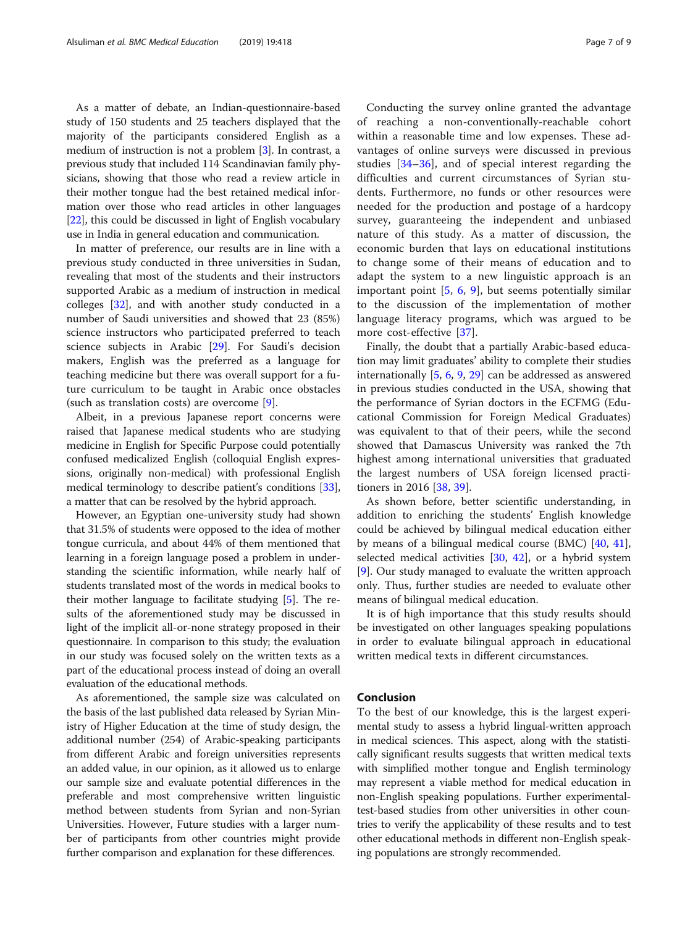As a matter of debate, an Indian-questionnaire-based study of 150 students and 25 teachers displayed that the majority of the participants considered English as a medium of instruction is not a problem [[3\]](#page-7-0). In contrast, a previous study that included 114 Scandinavian family physicians, showing that those who read a review article in their mother tongue had the best retained medical information over those who read articles in other languages [[22](#page-8-0)], this could be discussed in light of English vocabulary use in India in general education and communication.

In matter of preference, our results are in line with a previous study conducted in three universities in Sudan, revealing that most of the students and their instructors supported Arabic as a medium of instruction in medical colleges [\[32\]](#page-8-0), and with another study conducted in a number of Saudi universities and showed that 23 (85%) science instructors who participated preferred to teach science subjects in Arabic [\[29](#page-8-0)]. For Saudi's decision makers, English was the preferred as a language for teaching medicine but there was overall support for a future curriculum to be taught in Arabic once obstacles (such as translation costs) are overcome [[9\]](#page-7-0).

Albeit, in a previous Japanese report concerns were raised that Japanese medical students who are studying medicine in English for Specific Purpose could potentially confused medicalized English (colloquial English expressions, originally non-medical) with professional English medical terminology to describe patient's conditions [[33](#page-8-0)], a matter that can be resolved by the hybrid approach.

However, an Egyptian one-university study had shown that 31.5% of students were opposed to the idea of mother tongue curricula, and about 44% of them mentioned that learning in a foreign language posed a problem in understanding the scientific information, while nearly half of students translated most of the words in medical books to their mother language to facilitate studying [\[5](#page-7-0)]. The results of the aforementioned study may be discussed in light of the implicit all-or-none strategy proposed in their questionnaire. In comparison to this study; the evaluation in our study was focused solely on the written texts as a part of the educational process instead of doing an overall evaluation of the educational methods.

As aforementioned, the sample size was calculated on the basis of the last published data released by Syrian Ministry of Higher Education at the time of study design, the additional number (254) of Arabic-speaking participants from different Arabic and foreign universities represents an added value, in our opinion, as it allowed us to enlarge our sample size and evaluate potential differences in the preferable and most comprehensive written linguistic method between students from Syrian and non-Syrian Universities. However, Future studies with a larger number of participants from other countries might provide further comparison and explanation for these differences.

Conducting the survey online granted the advantage of reaching a non-conventionally-reachable cohort within a reasonable time and low expenses. These advantages of online surveys were discussed in previous studies [[34](#page-8-0)–[36\]](#page-8-0), and of special interest regarding the difficulties and current circumstances of Syrian students. Furthermore, no funds or other resources were needed for the production and postage of a hardcopy survey, guaranteeing the independent and unbiased nature of this study. As a matter of discussion, the economic burden that lays on educational institutions to change some of their means of education and to adapt the system to a new linguistic approach is an important point [\[5](#page-7-0), [6](#page-7-0), [9\]](#page-7-0), but seems potentially similar to the discussion of the implementation of mother language literacy programs, which was argued to be more cost-effective [\[37](#page-8-0)].

Finally, the doubt that a partially Arabic-based education may limit graduates' ability to complete their studies internationally [\[5](#page-7-0), [6](#page-7-0), [9](#page-7-0), [29](#page-8-0)] can be addressed as answered in previous studies conducted in the USA, showing that the performance of Syrian doctors in the ECFMG (Educational Commission for Foreign Medical Graduates) was equivalent to that of their peers, while the second showed that Damascus University was ranked the 7th highest among international universities that graduated the largest numbers of USA foreign licensed practitioners in 2016 [\[38](#page-8-0), [39](#page-8-0)].

As shown before, better scientific understanding, in addition to enriching the students' English knowledge could be achieved by bilingual medical education either by means of a bilingual medical course (BMC) [[40](#page-8-0), [41](#page-8-0)], selected medical activities  $[30, 42]$  $[30, 42]$  $[30, 42]$ , or a hybrid system [[9\]](#page-7-0). Our study managed to evaluate the written approach only. Thus, further studies are needed to evaluate other means of bilingual medical education.

It is of high importance that this study results should be investigated on other languages speaking populations in order to evaluate bilingual approach in educational written medical texts in different circumstances.

## Conclusion

To the best of our knowledge, this is the largest experimental study to assess a hybrid lingual-written approach in medical sciences. This aspect, along with the statistically significant results suggests that written medical texts with simplified mother tongue and English terminology may represent a viable method for medical education in non-English speaking populations. Further experimentaltest-based studies from other universities in other countries to verify the applicability of these results and to test other educational methods in different non-English speaking populations are strongly recommended.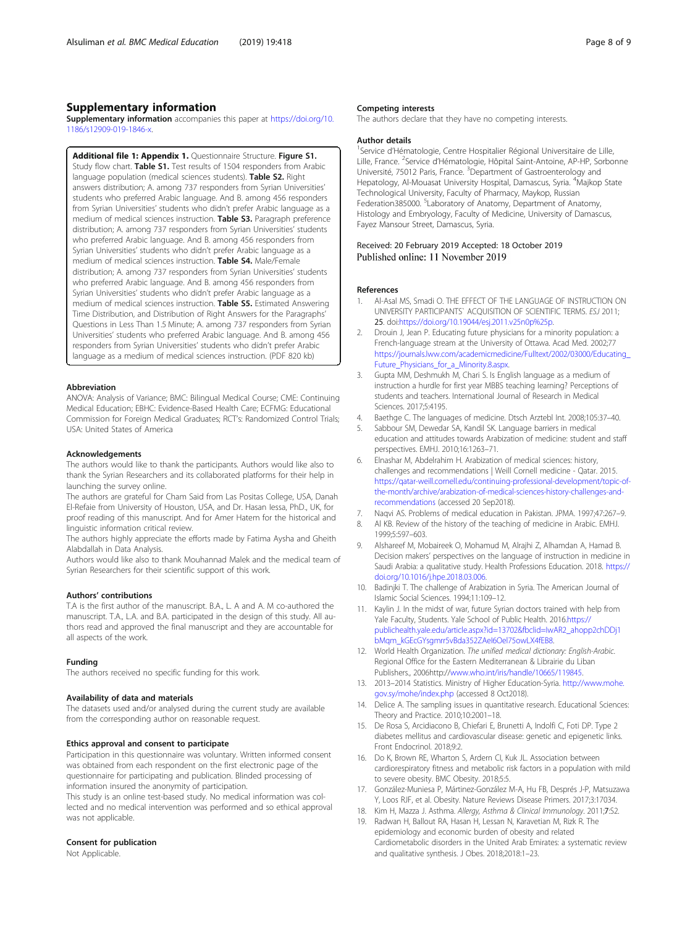## <span id="page-7-0"></span>Supplementary information

Supplementary information accompanies this paper at [https://doi.org/10.](https://doi.org/10.1186/s12909-019-1846-x) [1186/s12909-019-1846-x](https://doi.org/10.1186/s12909-019-1846-x).

Additional file 1: Appendix 1. Questionnaire Structure. Figure S1. Study flow chart. Table S1. Test results of 1504 responders from Arabic language population (medical sciences students). Table S2. Right answers distribution; A. among 737 responders from Syrian Universities' students who preferred Arabic language. And B. among 456 responders from Syrian Universities' students who didn't prefer Arabic language as a medium of medical sciences instruction. Table S3. Paragraph preference distribution; A. among 737 responders from Syrian Universities' students who preferred Arabic language. And B. among 456 responders from Syrian Universities' students who didn't prefer Arabic language as a medium of medical sciences instruction. Table S4. Male/Female distribution; A. among 737 responders from Syrian Universities' students who preferred Arabic language. And B. among 456 responders from Syrian Universities' students who didn't prefer Arabic language as a medium of medical sciences instruction. Table S5. Estimated Answering Time Distribution, and Distribution of Right Answers for the Paragraphs' Questions in Less Than 1.5 Minute; A. among 737 responders from Syrian Universities' students who preferred Arabic language. And B. among 456 responders from Syrian Universities' students who didn't prefer Arabic language as a medium of medical sciences instruction. (PDF 820 kb)

## Abbreviation

ANOVA: Analysis of Variance; BMC: Bilingual Medical Course; CME: Continuing Medical Education; EBHC: Evidence-Based Health Care; ECFMG: Educational Commission for Foreign Medical Graduates; RCT's: Randomized Control Trials; USA: United States of America

#### Acknowledgements

The authors would like to thank the participants. Authors would like also to thank the Syrian Researchers and its collaborated platforms for their help in launching the survey online.

The authors are grateful for Cham Said from Las Positas College, USA, Danah El-Refaie from University of Houston, USA, and Dr. Hasan Iessa, PhD., UK, for proof reading of this manuscript. And for Amer Hatem for the historical and linguistic information critical review.

The authors highly appreciate the efforts made by Fatima Aysha and Gheith Alabdallah in Data Analysis.

Authors would like also to thank Mouhannad Malek and the medical team of Syrian Researchers for their scientific support of this work.

#### Authors' contributions

T.A is the first author of the manuscript. B.A., L. A and A. M co-authored the manuscript. T.A., L.A. and B.A. participated in the design of this study. All authors read and approved the final manuscript and they are accountable for all aspects of the work.

#### Funding

The authors received no specific funding for this work.

#### Availability of data and materials

The datasets used and/or analysed during the current study are available from the corresponding author on reasonable request.

#### Ethics approval and consent to participate

Participation in this questionnaire was voluntary. Written informed consent was obtained from each respondent on the first electronic page of the questionnaire for participating and publication. Blinded processing of information insured the anonymity of participation.

This study is an online test-based study. No medical information was collected and no medical intervention was performed and so ethical approval was not applicable.

## Consent for publication

Not Applicable.

#### Competing interests

The authors declare that they have no competing interests.

#### Author details

<sup>1</sup>Service d'Hématologie, Centre Hospitalier Régional Universitaire de Lille, Lille, France. <sup>2</sup>Service d'Hématologie, Hôpital Saint-Antoine, AP-HP, Sorbonne Université, 75012 Paris, France. <sup>3</sup>Department of Gastroenterology and Hepatology, Al-Mouasat University Hospital, Damascus, Syria. <sup>4</sup>Majkop State Technological University, Faculty of Pharmacy, Maykop, Russian Federation385000.<sup>5</sup> Laboratory of Anatomy, Department of Anatomy, Histology and Embryology, Faculty of Medicine, University of Damascus, Fayez Mansour Street, Damascus, Syria.

# Received: 20 February 2019 Accepted: 18 October 2019

#### References

- 1. Al-Asal MS, Smadi O. THE EFFECT OF THE LANGUAGE OF INSTRUCTION ON UNIVERSITY PARTICIPANTS` ACQUISITION OF SCIENTIFIC TERMS. ESJ 2011; 25. doi:[https://doi.org/10.19044/esj.2011.v25n0p%25p.](https://doi.org/10.19044/esj.2011.v25n0p%25p)
- 2. Drouin J, Jean P. Educating future physicians for a minority population: a French-language stream at the University of Ottawa. Acad Med. 2002;77 [https://journals.lww.com/academicmedicine/Fulltext/2002/03000/Educating\\_](https://journals.lww.com/academicmedicine/Fulltext/2002/03000/Educating_Future_Physicians_for_a_Minority.8.aspx) [Future\\_Physicians\\_for\\_a\\_Minority.8.aspx.](https://journals.lww.com/academicmedicine/Fulltext/2002/03000/Educating_Future_Physicians_for_a_Minority.8.aspx)
- 3. Gupta MM, Deshmukh M, Chari S. Is English language as a medium of instruction a hurdle for first year MBBS teaching learning? Perceptions of students and teachers. International Journal of Research in Medical Sciences. 2017;5:4195.
- 4. Baethge C. The languages of medicine. Dtsch Arztebl Int. 2008;105:37–40.
- 5. Sabbour SM, Dewedar SA, Kandil SK. Language barriers in medical education and attitudes towards Arabization of medicine: student and staff perspectives. EMHJ. 2010;16:1263–71.
- 6. Elnashar M, Abdelrahim H. Arabization of medical sciences: history, challenges and recommendations | Weill Cornell medicine - Qatar. 2015. [https://qatar-weill.cornell.edu/continuing-professional-development/topic-of](https://qatar-weill.cornell.edu/continuing-professional-development/topic-of-the-month/archive/arabization-of-medical-sciences-history-challenges-and-recommendations)[the-month/archive/arabization-of-medical-sciences-history-challenges-and](https://qatar-weill.cornell.edu/continuing-professional-development/topic-of-the-month/archive/arabization-of-medical-sciences-history-challenges-and-recommendations)[recommendations](https://qatar-weill.cornell.edu/continuing-professional-development/topic-of-the-month/archive/arabization-of-medical-sciences-history-challenges-and-recommendations) (accessed 20 Sep2018).
- 7. Naqvi AS. Problems of medical education in Pakistan. JPMA. 1997;47:267–9.
- 8. Al KB. Review of the history of the teaching of medicine in Arabic. EMHJ. 1999;5:597–603.
- 9. Alshareef M, Mobaireek O, Mohamud M, Alrajhi Z, Alhamdan A, Hamad B. Decision makers' perspectives on the language of instruction in medicine in Saudi Arabia: a qualitative study. Health Professions Education. 2018. [https://](https://doi.org/10.1016/j.hpe.2018.03.006) [doi.org/10.1016/j.hpe.2018.03.006](https://doi.org/10.1016/j.hpe.2018.03.006).
- 10. Badinjki T. The challenge of Arabization in Syria. The American Journal of Islamic Social Sciences. 1994;11:109–12.
- 11. Kaylin J. In the midst of war, future Syrian doctors trained with help from Yale Faculty, Students. Yale School of Public Health. 2016[.https://](https://publichealth.yale.edu/article.aspx?id=13702&fbclid=IwAR2_ahopp2chDDj1bMqm_kGEcGYsgmrr5vBda352ZAeI6Oel75owLX4fEB8) [publichealth.yale.edu/article.aspx?id=13702&fbclid=IwAR2\\_ahopp2chDDj1](https://publichealth.yale.edu/article.aspx?id=13702&fbclid=IwAR2_ahopp2chDDj1bMqm_kGEcGYsgmrr5vBda352ZAeI6Oel75owLX4fEB8) [bMqm\\_kGEcGYsgmrr5vBda352ZAeI6Oel75owLX4fEB8.](https://publichealth.yale.edu/article.aspx?id=13702&fbclid=IwAR2_ahopp2chDDj1bMqm_kGEcGYsgmrr5vBda352ZAeI6Oel75owLX4fEB8)
- 12. World Health Organization. The unified medical dictionary: English-Arabic. Regional Office for the Eastern Mediterranean & Librairie du Liban Publishers., 2006http:/[/www.who.int/iris/handle/10665/119845.](http://www.who.int/iris/handle/10665/119845)
- 13. 2013–2014 Statistics. Ministry of Higher Education-Syria. [http://www.mohe.](http://www.mohe.gov.sy/mohe/index.php) [gov.sy/mohe/index.php](http://www.mohe.gov.sy/mohe/index.php) (accessed 8 Oct2018).
- 14. Delice A. The sampling issues in quantitative research. Educational Sciences: Theory and Practice. 2010;10:2001–18.
- 15. De Rosa S, Arcidiacono B, Chiefari E, Brunetti A, Indolfi C, Foti DP. Type 2 diabetes mellitus and cardiovascular disease: genetic and epigenetic links. Front Endocrinol. 2018;9:2.
- 16. Do K, Brown RE, Wharton S, Ardern CI, Kuk JL. Association between cardiorespiratory fitness and metabolic risk factors in a population with mild to severe obesity. BMC Obesity. 2018;5:5.
- 17. González-Muniesa P, Mártinez-González M-A, Hu FB, Després J-P, Matsuzawa Y, Loos RJF, et al. Obesity. Nature Reviews Disease Primers. 2017;3:17034.
- 18. Kim H, Mazza J. Asthma. Allergy, Asthma & Clinical Immunology. 2011;7:S2.
- 19. Radwan H, Ballout RA, Hasan H, Lessan N, Karavetian M, Rizk R. The epidemiology and economic burden of obesity and related Cardiometabolic disorders in the United Arab Emirates: a systematic review and qualitative synthesis. J Obes. 2018;2018:1–23.